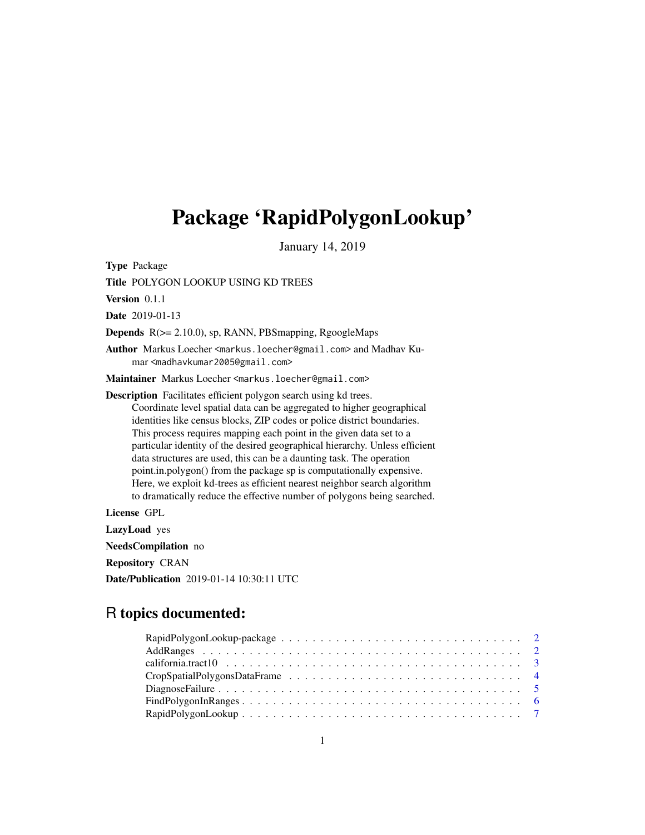## Package 'RapidPolygonLookup'

January 14, 2019

Type Package

Title POLYGON LOOKUP USING KD TREES

Version 0.1.1

Date 2019-01-13

Depends R(>= 2.10.0), sp, RANN, PBSmapping, RgoogleMaps

Author Markus Loecher <markus.loecher@gmail.com> and Madhav Kumar <madhavkumar2005@gmail.com>

Maintainer Markus Loecher <markus.loecher@gmail.com>

Description Facilitates efficient polygon search using kd trees. Coordinate level spatial data can be aggregated to higher geographical identities like census blocks, ZIP codes or police district boundaries. This process requires mapping each point in the given data set to a particular identity of the desired geographical hierarchy. Unless efficient data structures are used, this can be a daunting task. The operation point.in.polygon() from the package sp is computationally expensive. Here, we exploit kd-trees as efficient nearest neighbor search algorithm to dramatically reduce the effective number of polygons being searched.

License GPL

LazyLoad yes

NeedsCompilation no

Repository CRAN

Date/Publication 2019-01-14 10:30:11 UTC

## R topics documented:

| california.tract10 $\ldots \ldots \ldots \ldots \ldots \ldots \ldots \ldots \ldots \ldots \ldots \ldots \ldots$ |  |
|-----------------------------------------------------------------------------------------------------------------|--|
|                                                                                                                 |  |
|                                                                                                                 |  |
|                                                                                                                 |  |
|                                                                                                                 |  |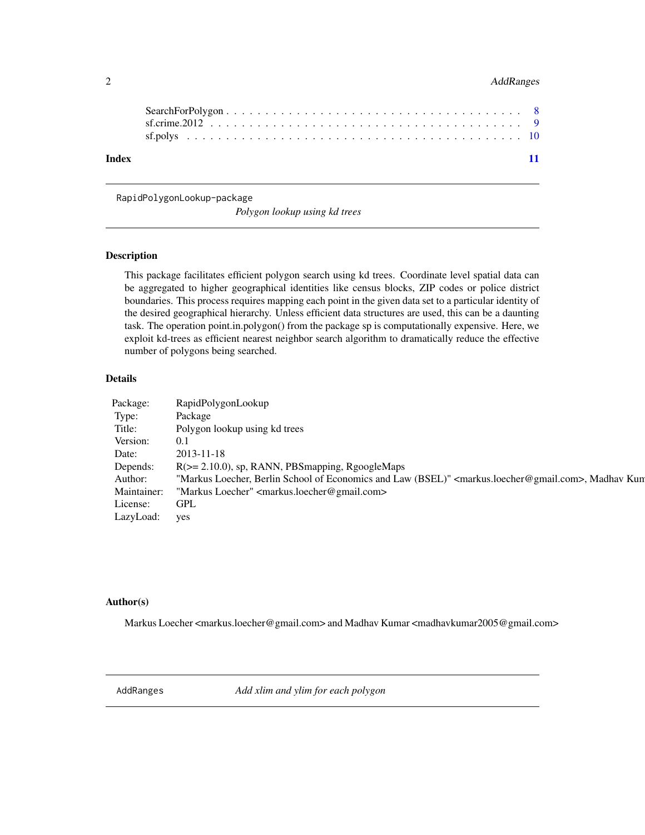## <span id="page-1-0"></span>2 AddRanges

| Index |  |  |  |  |  |  |  |  |  |  |  |  |  |  |  |  |  |  |  |
|-------|--|--|--|--|--|--|--|--|--|--|--|--|--|--|--|--|--|--|--|

RapidPolygonLookup-package

*Polygon lookup using kd trees*

## Description

This package facilitates efficient polygon search using kd trees. Coordinate level spatial data can be aggregated to higher geographical identities like census blocks, ZIP codes or police district boundaries. This process requires mapping each point in the given data set to a particular identity of the desired geographical hierarchy. Unless efficient data structures are used, this can be a daunting task. The operation point.in.polygon() from the package sp is computationally expensive. Here, we exploit kd-trees as efficient nearest neighbor search algorithm to dramatically reduce the effective number of polygons being searched.

## Details

| Package:    | RapidPolygonLookup                                                                                                            |
|-------------|-------------------------------------------------------------------------------------------------------------------------------|
| Type:       | Package                                                                                                                       |
| Title:      | Polygon lookup using kd trees                                                                                                 |
| Version:    | 0.1                                                                                                                           |
| Date:       | $2013 - 11 - 18$                                                                                                              |
| Depends:    | $R$ ( $>=$ 2.10.0), sp, RANN, PBS mapping, RgoogleMaps                                                                        |
| Author:     | "Markus Loecher, Berlin School of Economics and Law (BSEL)" <markus.loecher@gmail.com>, Madhav Kun</markus.loecher@gmail.com> |
| Maintainer: | "Markus Loecher" <markus.loecher@gmail.com></markus.loecher@gmail.com>                                                        |
| License:    | GPL                                                                                                                           |
| LazyLoad:   | yes                                                                                                                           |

#### Author(s)

Markus Loecher <markus.loecher@gmail.com> and Madhav Kumar <madhavkumar2005@gmail.com>

AddRanges *Add xlim and ylim for each polygon*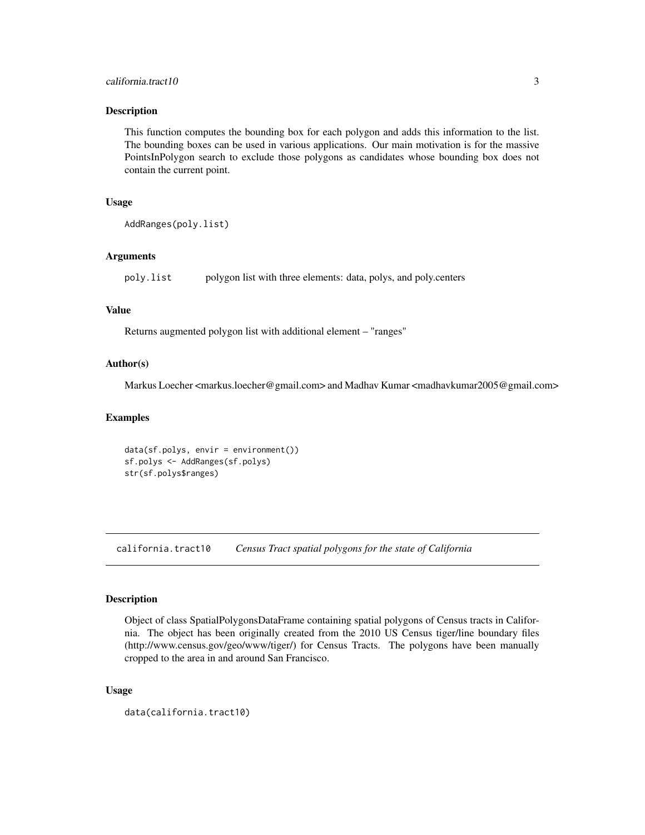## <span id="page-2-0"></span>california.tract10 3

#### **Description**

This function computes the bounding box for each polygon and adds this information to the list. The bounding boxes can be used in various applications. Our main motivation is for the massive PointsInPolygon search to exclude those polygons as candidates whose bounding box does not contain the current point.

#### Usage

```
AddRanges(poly.list)
```
#### Arguments

poly.list polygon list with three elements: data, polys, and poly.centers

## Value

Returns augmented polygon list with additional element – "ranges"

#### Author(s)

Markus Loecher <markus.loecher@gmail.com> and Madhav Kumar <madhavkumar2005@gmail.com>

## Examples

```
data(sf.polys, envir = environment())
sf.polys <- AddRanges(sf.polys)
str(sf.polys$ranges)
```
california.tract10 *Census Tract spatial polygons for the state of California*

#### Description

Object of class SpatialPolygonsDataFrame containing spatial polygons of Census tracts in California. The object has been originally created from the 2010 US Census tiger/line boundary files (http://www.census.gov/geo/www/tiger/) for Census Tracts. The polygons have been manually cropped to the area in and around San Francisco.

#### Usage

data(california.tract10)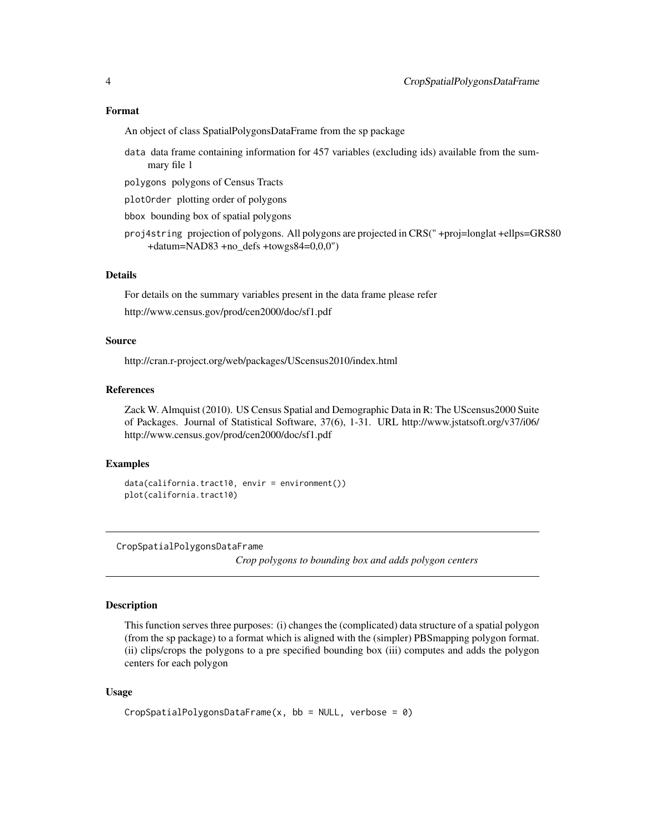#### <span id="page-3-0"></span>Format

An object of class SpatialPolygonsDataFrame from the sp package

- data data frame containing information for 457 variables (excluding ids) available from the summary file 1
- polygons polygons of Census Tracts
- plotOrder plotting order of polygons
- bbox bounding box of spatial polygons
- proj4string projection of polygons. All polygons are projected in CRS(" +proj=longlat +ellps=GRS80 +datum=NAD83 +no\_defs +towgs84=0,0,0")

## Details

For details on the summary variables present in the data frame please refer

http://www.census.gov/prod/cen2000/doc/sf1.pdf

#### Source

http://cran.r-project.org/web/packages/UScensus2010/index.html

#### References

Zack W. Almquist (2010). US Census Spatial and Demographic Data in R: The UScensus2000 Suite of Packages. Journal of Statistical Software, 37(6), 1-31. URL http://www.jstatsoft.org/v37/i06/ http://www.census.gov/prod/cen2000/doc/sf1.pdf

## Examples

```
data(california.tract10, envir = environment())
plot(california.tract10)
```
CropSpatialPolygonsDataFrame

*Crop polygons to bounding box and adds polygon centers*

#### **Description**

This function serves three purposes: (i) changes the (complicated) data structure of a spatial polygon (from the sp package) to a format which is aligned with the (simpler) PBSmapping polygon format. (ii) clips/crops the polygons to a pre specified bounding box (iii) computes and adds the polygon centers for each polygon

#### Usage

```
CropSpatialPolygonsDataFrame(x, bb = NULL, verbose = 0)
```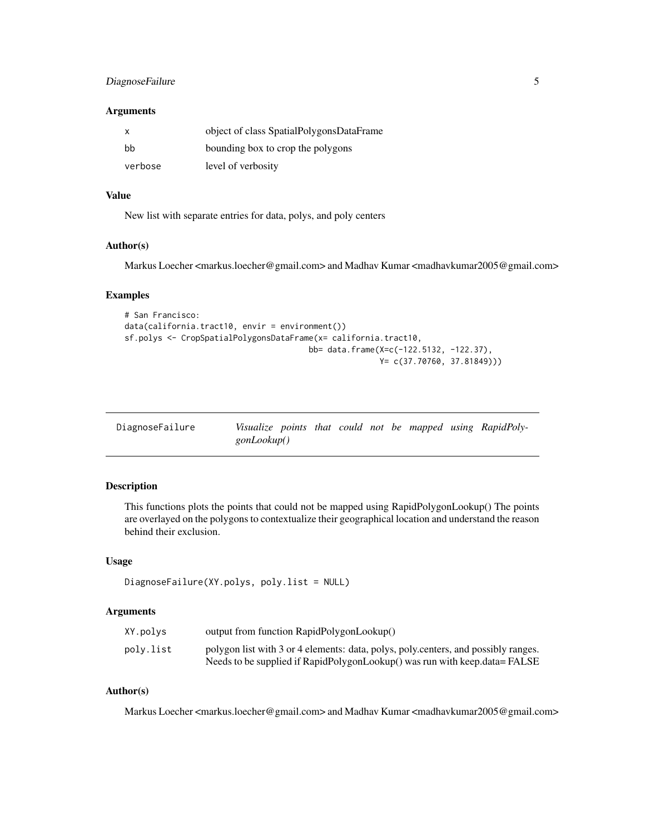## <span id="page-4-0"></span>DiagnoseFailure 5

#### **Arguments**

| х       | object of class SpatialPolygonsDataFrame |
|---------|------------------------------------------|
| hh      | bounding box to crop the polygons        |
| verbose | level of verbosity                       |

## Value

New list with separate entries for data, polys, and poly centers

#### Author(s)

Markus Loecher <markus.loecher@gmail.com> and Madhav Kumar <madhavkumar2005@gmail.com>

## Examples

```
# San Francisco:
data(california.tract10, envir = environment())
sf.polys <- CropSpatialPolygonsDataFrame(x= california.tract10,
                                       bb= data.frame(X=c(-122.5132, -122.37),
                                                      Y= c(37.70760, 37.81849)))
```

| DiagnoseFailure |             |  |  |  | Visualize points that could not be mapped using RapidPoly- |
|-----------------|-------------|--|--|--|------------------------------------------------------------|
|                 | gonLookup() |  |  |  |                                                            |

## Description

This functions plots the points that could not be mapped using RapidPolygonLookup() The points are overlayed on the polygons to contextualize their geographical location and understand the reason behind their exclusion.

#### Usage

```
DiagnoseFailure(XY.polys, poly.list = NULL)
```
#### Arguments

| XY.polys  | output from function RapidPolygonLookup()                                          |
|-----------|------------------------------------------------------------------------------------|
| poly.list | polygon list with 3 or 4 elements: data, polys, poly.centers, and possibly ranges. |
|           | Needs to be supplied if RapidPolygonLookup() was run with keep data = FALSE        |

## Author(s)

Markus Loecher <markus.loecher@gmail.com> and Madhav Kumar <madhavkumar2005@gmail.com>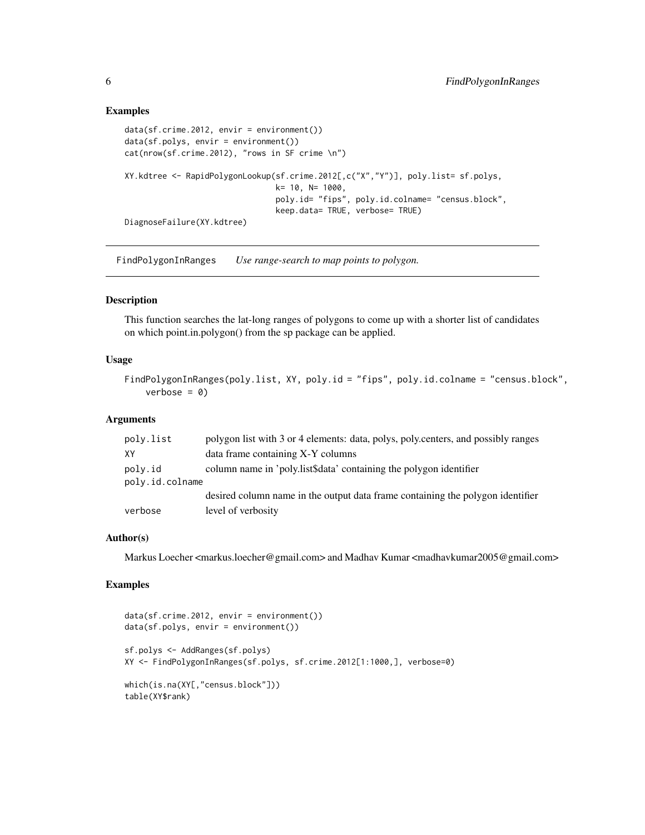## Examples

```
data(sf.crime.2012, envir = environment())
data(sf.polys, envir = environment())
cat(nrow(sf.crime.2012), "rows in SF crime \n")
XY.kdtree <- RapidPolygonLookup(sf.crime.2012[,c("X","Y")], poly.list= sf.polys,
                                k= 10, N= 1000,
                                poly.id= "fips", poly.id.colname= "census.block",
                                keep.data= TRUE, verbose= TRUE)
DiagnoseFailure(XY.kdtree)
```
FindPolygonInRanges *Use range-search to map points to polygon.*

#### Description

This function searches the lat-long ranges of polygons to come up with a shorter list of candidates on which point.in.polygon() from the sp package can be applied.

## Usage

```
FindPolygonInRanges(poly.list, XY, poly.id = "fips", poly.id.colname = "census.block",
    verbose = 0
```
#### **Arguments**

| poly.list       | polygon list with 3 or 4 elements: data, polys, poly.centers, and possibly ranges |
|-----------------|-----------------------------------------------------------------------------------|
| XY              | data frame containing X-Y columns                                                 |
| poly.id         | column name in 'poly.list\$data' containing the polygon identifier                |
| poly.id.colname |                                                                                   |
|                 | desired column name in the output data frame containing the polygon identifier    |
| verbose         | level of verbosity                                                                |

## Author(s)

Markus Loecher <markus.loecher@gmail.com> and Madhav Kumar <madhavkumar2005@gmail.com>

## Examples

```
data(sf.crime.2012, envir = environment())
data(sf.polys, envir = environment())
sf.polys <- AddRanges(sf.polys)
XY <- FindPolygonInRanges(sf.polys, sf.crime.2012[1:1000,], verbose=0)
which(is.na(XY[,"census.block"]))
table(XY$rank)
```
<span id="page-5-0"></span>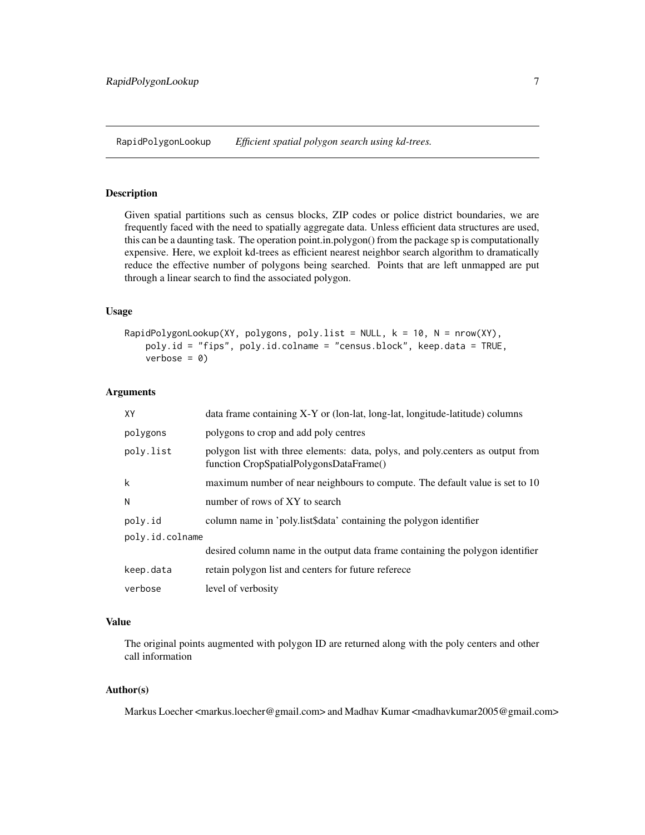<span id="page-6-0"></span>RapidPolygonLookup *Efficient spatial polygon search using kd-trees.*

### Description

Given spatial partitions such as census blocks, ZIP codes or police district boundaries, we are frequently faced with the need to spatially aggregate data. Unless efficient data structures are used, this can be a daunting task. The operation point.in.polygon() from the package sp is computationally expensive. Here, we exploit kd-trees as efficient nearest neighbor search algorithm to dramatically reduce the effective number of polygons being searched. Points that are left unmapped are put through a linear search to find the associated polygon.

## Usage

```
RapidPolygonLookup(XY, polygons, poly.list = NULL, k = 10, N = nrow(XY),
   poly.id = "fips", poly.id.colname = "census.block", keep.data = TRUE,
   verbose = 0
```
## Arguments

| XY              | data frame containing X-Y or (lon-lat, long-lat, longitude-latitude) columns                                              |
|-----------------|---------------------------------------------------------------------------------------------------------------------------|
| polygons        | polygons to crop and add poly centres                                                                                     |
| poly.list       | polygon list with three elements: data, polys, and poly.centers as output from<br>function CropSpatialPolygonsDataFrame() |
| k               | maximum number of near neighbours to compute. The default value is set to 10                                              |
| N               | number of rows of XY to search                                                                                            |
| poly.id         | column name in 'poly.list\$data' containing the polygon identifier                                                        |
| poly.id.colname |                                                                                                                           |
|                 | desired column name in the output data frame containing the polygon identifier                                            |
| keep.data       | retain polygon list and centers for future referece                                                                       |
| verbose         | level of verbosity                                                                                                        |

## Value

The original points augmented with polygon ID are returned along with the poly centers and other call information

## Author(s)

Markus Loecher <markus.loecher@gmail.com> and Madhav Kumar <madhavkumar2005@gmail.com>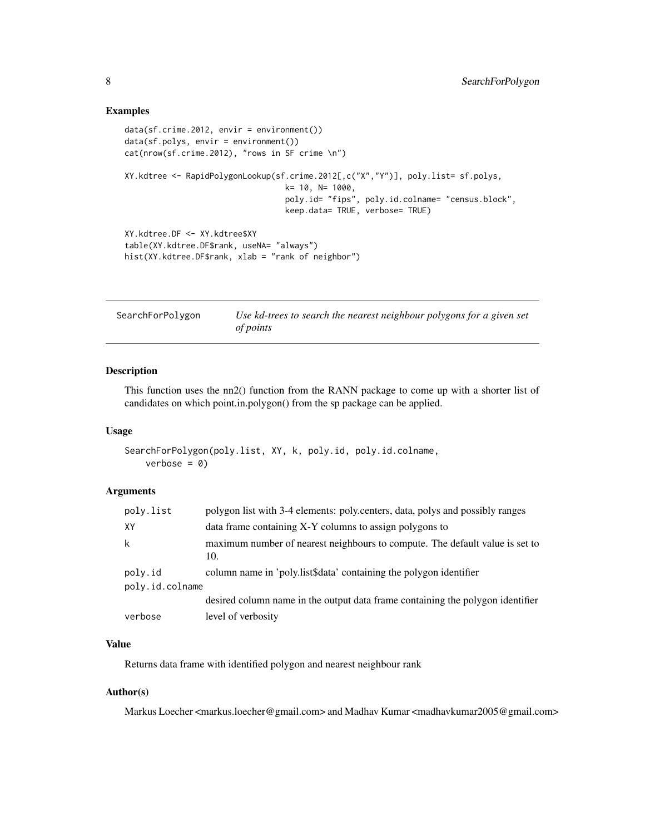## Examples

```
data(sf.crime.2012, envir = environment())
data(sf.polys, envir = environment())
cat(nrow(sf.crime.2012), "rows in SF crime \n")
XY.kdtree <- RapidPolygonLookup(sf.crime.2012[,c("X","Y")], poly.list= sf.polys,
                                  k= 10, N= 1000,
                                  poly.id= "fips", poly.id.colname= "census.block",
                                  keep.data= TRUE, verbose= TRUE)
XY.kdtree.DF <- XY.kdtree$XY
table(XY.kdtree.DF$rank, useNA= "always")
hist(XY.kdtree.DF$rank, xlab = "rank of neighbor")
```
SearchForPolygon *Use kd-trees to search the nearest neighbour polygons for a given set of points*

## Description

This function uses the nn2() function from the RANN package to come up with a shorter list of candidates on which point.in.polygon() from the sp package can be applied.

#### Usage

```
SearchForPolygon(poly.list, XY, k, poly.id, poly.id.colname,
   verbose = 0)
```
## Arguments

| poly.list       | polygon list with 3-4 elements: poly.centers, data, polys and possibly ranges       |
|-----------------|-------------------------------------------------------------------------------------|
| XY              | data frame containing X-Y columns to assign polygons to                             |
| k               | maximum number of nearest neighbours to compute. The default value is set to<br>10. |
| poly.id         | column name in 'poly.list\$data' containing the polygon identifier                  |
| poly.id.colname |                                                                                     |
|                 | desired column name in the output data frame containing the polygon identifier      |
| verbose         | level of verbosity                                                                  |

### Value

Returns data frame with identified polygon and nearest neighbour rank

## Author(s)

Markus Loecher <markus.loecher@gmail.com> and Madhav Kumar <madhavkumar2005@gmail.com>

<span id="page-7-0"></span>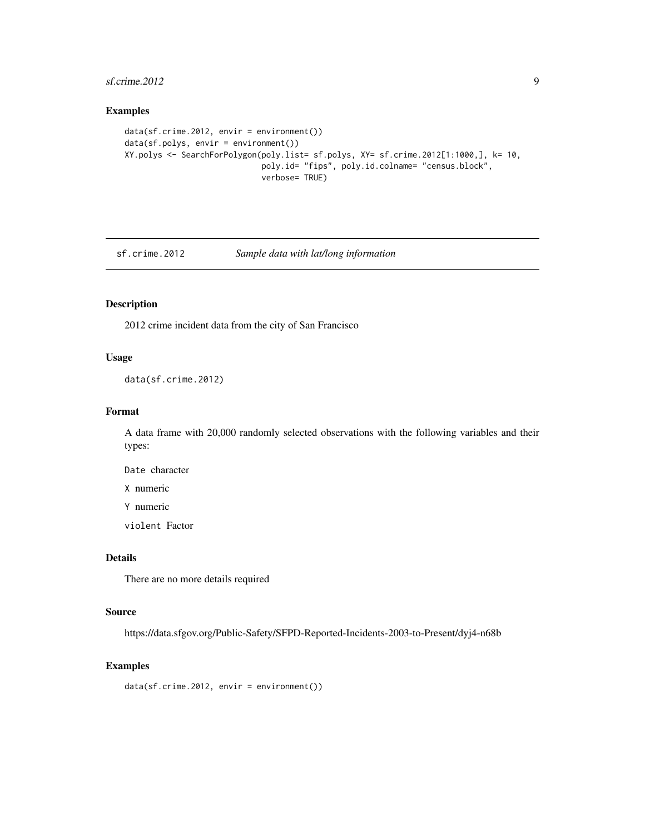## <span id="page-8-0"></span> $s$ f.crime.2012 9

## Examples

```
data(sf.crime.2012, envir = environment())
data(sf.polys, envir = environment())
XY.polys <- SearchForPolygon(poly.list= sf.polys, XY= sf.crime.2012[1:1000,], k= 10,
                             poly.id= "fips", poly.id.colname= "census.block",
                             verbose= TRUE)
```
sf.crime.2012 *Sample data with lat/long information*

## Description

2012 crime incident data from the city of San Francisco

## Usage

data(sf.crime.2012)

## Format

A data frame with 20,000 randomly selected observations with the following variables and their types:

Date character

X numeric

Y numeric

violent Factor

## Details

There are no more details required

#### Source

https://data.sfgov.org/Public-Safety/SFPD-Reported-Incidents-2003-to-Present/dyj4-n68b

## Examples

data(sf.crime.2012, envir = environment())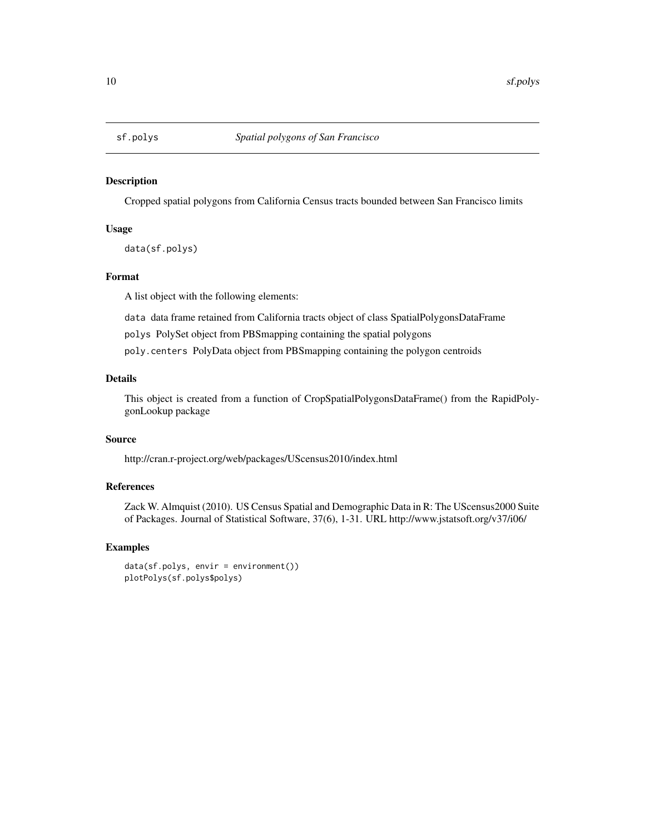<span id="page-9-0"></span>

## Description

Cropped spatial polygons from California Census tracts bounded between San Francisco limits

## Usage

data(sf.polys)

## Format

A list object with the following elements:

data data frame retained from California tracts object of class SpatialPolygonsDataFrame

polys PolySet object from PBSmapping containing the spatial polygons

poly.centers PolyData object from PBSmapping containing the polygon centroids

## Details

This object is created from a function of CropSpatialPolygonsDataFrame() from the RapidPolygonLookup package

## Source

http://cran.r-project.org/web/packages/UScensus2010/index.html

## References

Zack W. Almquist (2010). US Census Spatial and Demographic Data in R: The UScensus2000 Suite of Packages. Journal of Statistical Software, 37(6), 1-31. URL http://www.jstatsoft.org/v37/i06/

## Examples

```
data(sf.polys, envir = environment())
plotPolys(sf.polys$polys)
```